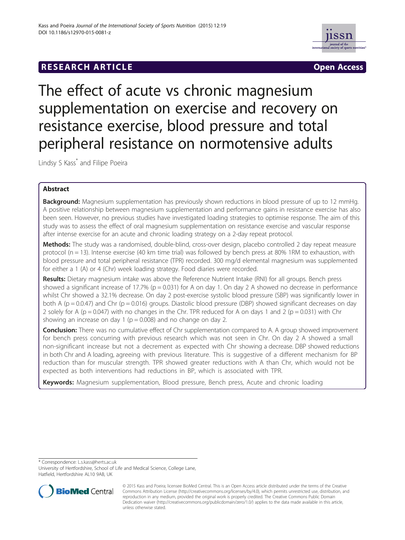# **RESEARCH ARTICLE Example 2014 The SEAR CH ACCESS**



The effect of acute vs chronic magnesium supplementation on exercise and recovery on resistance exercise, blood pressure and total peripheral resistance on normotensive adults

Lindsy S Kass<sup>\*</sup> and Filipe Poeira

## Abstract

**Background:** Magnesium supplementation has previously shown reductions in blood pressure of up to 12 mmHg. A positive relationship between magnesium supplementation and performance gains in resistance exercise has also been seen. However, no previous studies have investigated loading strategies to optimise response. The aim of this study was to assess the effect of oral magnesium supplementation on resistance exercise and vascular response after intense exercise for an acute and chronic loading strategy on a 2-day repeat protocol.

Methods: The study was a randomised, double-blind, cross-over design, placebo controlled 2 day repeat measure protocol (n = 13). Intense exercise (40 km time trial) was followed by bench press at 80% 1RM to exhaustion, with blood pressure and total peripheral resistance (TPR) recorded. 300 mg/d elemental magnesium was supplemented for either a 1 (A) or 4 (Chr) week loading strategy. Food diaries were recorded.

Results: Dietary magnesium intake was above the Reference Nutrient Intake (RNI) for all groups. Bench press showed a significant increase of 17.7% ( $p = 0.031$ ) for A on day 1. On day 2 A showed no decrease in performance whilst Chr showed a 32.1% decrease. On day 2 post-exercise systolic blood pressure (SBP) was significantly lower in both A ( $p = 0.0.47$ ) and Chr ( $p = 0.016$ ) groups. Diastolic blood pressure (DBP) showed significant decreases on day 2 solely for A ( $p = 0.047$ ) with no changes in the Chr. TPR reduced for A on days 1 and 2 ( $p = 0.031$ ) with Chr showing an increase on day 1 ( $p = 0.008$ ) and no change on day 2.

**Conclusion:** There was no cumulative effect of Chr supplementation compared to A. A group showed improvement for bench press concurring with previous research which was not seen in Chr. On day 2 A showed a small non-significant increase but not a decrement as expected with Chr showing a decrease. DBP showed reductions in both Chr and A loading, agreeing with previous literature. This is suggestive of a different mechanism for BP reduction than for muscular strength. TPR showed greater reductions with A than Chr, which would not be expected as both interventions had reductions in BP, which is associated with TPR.

Keywords: Magnesium supplementation, Blood pressure, Bench press, Acute and chronic loading

\* Correspondence: [L.s.kass@herts.ac.uk](mailto:L.s.kass@herts.ac.uk)

University of Hertfordshire, School of Life and Medical Science, College Lane, Hatfield, Hertfordshire AL10 9AB, UK



<sup>© 2015</sup> Kass and Poeira; licensee BioMed Central. This is an Open Access article distributed under the terms of the Creative Commons Attribution License [\(http://creativecommons.org/licenses/by/4.0\)](http://creativecommons.org/licenses/by/4.0), which permits unrestricted use, distribution, and reproduction in any medium, provided the original work is properly credited. The Creative Commons Public Domain Dedication waiver [\(http://creativecommons.org/publicdomain/zero/1.0/](http://creativecommons.org/publicdomain/zero/1.0/)) applies to the data made available in this article, unless otherwise stated.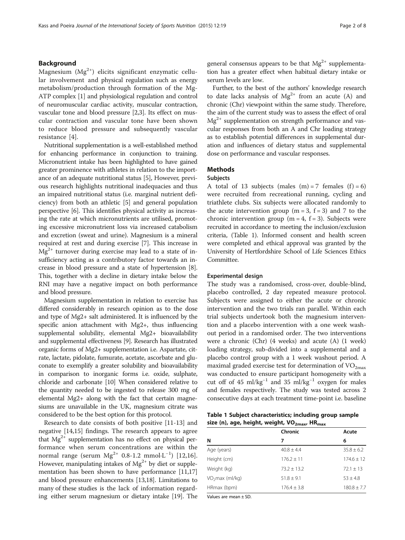#### <span id="page-1-0"></span>Background

Magnesium  $(Mg^{2+})$  elicits significant enzymatic cellular involvement and physical regulation such as energy metabolism/production through formation of the Mg-ATP complex [[1](#page-6-0)] and physiological regulation and control of neuromuscular cardiac activity, muscular contraction, vascular tone and blood pressure [[2,3](#page-6-0)]. Its effect on muscular contraction and vascular tone have been shown to reduce blood pressure and subsequently vascular resistance [[4\]](#page-6-0).

Nutritional supplementation is a well-established method for enhancing performance in conjunction to training. Micronutrient intake has been highlighted to have gained greater prominence with athletes in relation to the importance of an adequate nutritional status [[5\]](#page-6-0), However, previous research highlights nutritional inadequacies and thus an impaired nutritional status (i.e. marginal nutrient deficiency) from both an athletic [\[5\]](#page-6-0) and general population perspective [[6\]](#page-6-0). This identifies physical activity as increasing the rate at which micronutrients are utilised, promoting excessive micronutrient loss via increased catabolism and excretion (sweat and urine). Magnesium is a mineral required at rest and during exercise [\[7](#page-6-0)]. This increase in  $Mg^{2+}$  turnover during exercise may lead to a state of insufficiency acting as a contributory factor towards an increase in blood pressure and a state of hypertension [[8](#page-6-0)]. This, together with a decline in dietary intake below the RNI may have a negative impact on both performance and blood pressure.

Magnesium supplementation in relation to exercise has differed considerably in research opinion as to the dose and type of Mg2+ salt administered. It is influenced by the specific anion attachment with Mg2+, thus influencing supplemental solubility, elemental Mg2+ bioavailability and supplemental effectiveness [[9](#page-6-0)]. Research has illustrated organic forms of Mg2+ supplementation i.e. Aspartate, citrate, lactate, pidolate, fumurate, acetate, ascorbate and gluconate to exemplify a greater solubility and bioavailability in comparison to inorganic forms i.e. oxide, sulphate, chloride and carbonate [[10](#page-6-0)] When considered relative to the quantity needed to be ingested to release 300 mg of elemental Mg2+ along with the fact that certain magnesiums are unavailable in the UK, magnesium citrate was considered to be the best option for this protocol.

Research to date consists of both positive [[11](#page-6-0)-[13\]](#page-6-0) and negative [\[14,15\]](#page-7-0) findings. The research appears to agree that  $Mg^{2+}$  supplementation has no effect on physical performance when serum concentrations are within the normal range (serum  $Mg^{2+}$  0.8-1.2 mmol $\cdot L^{-1}$ ) [[12,](#page-6-0)[16](#page-7-0)]. However, manipulating intakes of  $Mg^{2+}$  by diet or supplementation has been shown to have performance [\[11,](#page-6-0)[17](#page-7-0)] and blood pressure enhancements [\[13,](#page-6-0)[18](#page-7-0)]. Limitations to many of these studies is the lack of information regarding either serum magnesium or dietary intake [[19](#page-7-0)]. The general consensus appears to be that  $Mg^{2+}$  supplementation has a greater effect when habitual dietary intake or serum levels are low.

Further, to the best of the authors' knowledge research to date lacks analysis of  $Mg^{2+}$  from an acute (A) and chronic (Chr) viewpoint within the same study. Therefore, the aim of the current study was to assess the effect of oral  $Mg^{2+}$  supplementation on strength performance and vascular responses from both an A and Chr loading strategy as to establish potential differences in supplemental duration and influences of dietary status and supplemental dose on performance and vascular responses.

## **Methods**

#### Subjects

A total of 13 subjects (males  $(m) = 7$  females  $(f) = 6$ ) were recruited from recreational running, cycling and triathlete clubs. Six subjects were allocated randomly to the acute intervention group  $(m = 3, f = 3)$  and 7 to the chronic intervention group (m = 4,  $f = 3$ ). Subjects were recruited in accordance to meeting the inclusion/exclusion criteria, (Table 1). Informed consent and health screen were completed and ethical approval was granted by the University of Hertfordshire School of Life Sciences Ethics Committee.

#### Experimental design

The study was a randomised, cross-over, double-blind, placebo controlled, 2 day repeated measure protocol. Subjects were assigned to either the acute or chronic intervention and the two trials ran parallel. Within each trial subjects undertook both the magnesium intervention and a placebo intervention with a one week washout period in a randomised order. The two interventions were a chronic (Chr) (4 weeks) and acute (A) (1 week) loading strategy, sub-divided into a supplemental and a placebo control group with a 1 week washout period. A maximal graded exercise test for determination of  $VO<sub>2max</sub>$ </sub> was conducted to ensure participant homogeneity with a cut off of 45 ml/kg<sup>-1</sup> and 35 ml/kg<sup>-1</sup> oxygen for males and females respectively. The study was tested across 2 consecutive days at each treatment time-point i.e. baseline

|  |  | Table 1 Subject characteristics; including group sample               |  |
|--|--|-----------------------------------------------------------------------|--|
|  |  | size (n), age, height, weight, VO <sub>2max</sub> , HR <sub>max</sub> |  |

|                             | Chronic        | Acute           |  |
|-----------------------------|----------------|-----------------|--|
| N                           | 7              | 6               |  |
| Age (years)                 | $40.8 \pm 4.4$ | $35.8 \pm 6.2$  |  |
| Height (cm)                 | $176.2 + 11$   | $174.6 \pm 12$  |  |
| Weight (kg)                 | $73.2 + 13.2$  | $72.1 \pm 13$   |  |
| VO <sub>2</sub> max (ml/kg) | $51.8 \pm 9.1$ | $53 \pm 4.8$    |  |
| HRmax (bpm)                 | $176.4 + 3.8$  | $180.8 \pm 7.7$ |  |

Values are mean ± SD.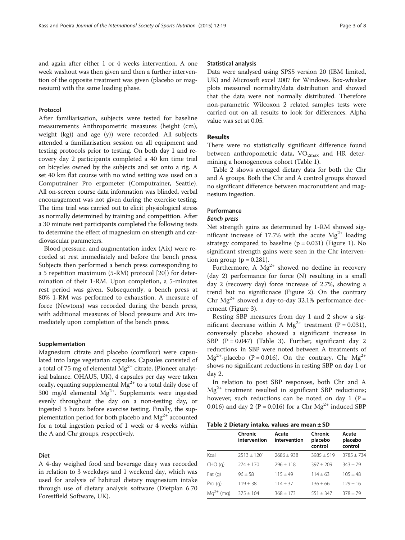and again after either 1 or 4 weeks intervention. A one week washout was then given and then a further intervention of the opposite treatment was given (placebo or magnesium) with the same loading phase.

## Protocol

After familiarisation, subjects were tested for baseline measurements Anthropometric measures (height (cm), weight (kg)) and age (y)) were recorded. All subjects attended a familiarisation session on all equipment and testing protocols prior to testing. On both day 1 and recovery day 2 participants completed a 40 km time trial on bicycles owned by the subjects and set onto a rig. A set 40 km flat course with no wind setting was used on a Computrainer Pro ergometer (Computrainer, Seattle). All on-screen course data information was blinded, verbal encouragement was not given during the exercise testing. The time trial was carried out to elicit physiological stress as normally determined by training and competition. After a 30 minute rest participants completed the following tests to determine the effect of magnesium on strength and cardiovascular parameters.

Blood pressure, and augmentation index (Aix) were recorded at rest immediately and before the bench press. Subjects then performed a bench press corresponding to a 5 repetition maximum (5-RM) protocol [[20](#page-7-0)]) for determination of their 1-RM. Upon completion, a 5-minutes rest period was given. Subsequently, a bench press at 80% 1-RM was performed to exhaustion. A measure of force (Newtons) was recorded during the bench press, with additional measures of blood pressure and Aix immediately upon completion of the bench press.

#### Supplementation

Magnesium citrate and placebo (cornflour) were capsulated into large vegetarian capsules. Capsules consisted of a total of 75 mg of elemental  $Mg^{2+}$  citrate, (Pioneer analytical balance. OHAUS, UK), 4 capsules per day were taken orally, equating supplemental  $Mg^{2+}$  to a total daily dose of 300 mg/d elemental  $Mg^{2+}$ . Supplements were ingested evenly throughout the day on a non-testing day, or ingested 3 hours before exercise testing. Finally, the supplementation period for both placebo and  $Mg^{2+}$  accounted for a total ingestion period of 1 week or 4 weeks within the A and Chr groups, respectively.

#### Diet

A 4-day weighed food and beverage diary was recorded in relation to 3 weekdays and 1 weekend day, which was used for analysis of habitual dietary magnesium intake through use of dietary analysis software (Dietplan 6.70 Forestfield Software, UK).

#### Statistical analysis

Data were analysed using SPSS version 20 (IBM limited, UK) and Microsoft excel 2007 for Windows. Box-whisker plots measured normality/data distribution and showed that the data were not normally distributed. Therefore non-parametric Wilcoxon 2 related samples tests were carried out on all results to look for differences. Alpha value was set at 0.05.

## Results

There were no statistically significant difference found between anthropometric data,  $VO_{2max}$  and HR determining a homogeneous cohort (Table [1\)](#page-1-0).

Table 2 shows averaged dietary data for both the Chr and A groups. Both the Chr and A control groups showed no significant difference between macronutrient and magnesium ingestion.

## Performance

#### Bench press

Net strength gains as determined by 1-RM showed significant increase of 17.7% with the acute  $Mg^{2+}$  loading strategy compared to baseline  $(p = 0.031)$  (Figure [1\)](#page-3-0). No significant strength gains were seen in the Chr intervention group ( $p = 0.281$ ).

Furthermore, A  $Mg^{2+}$  showed no decline in recovery (day 2) performance for force (N) resulting in a small day 2 (recovery day) force increase of 2.7%, showing a trend but no significnace (Figure [2\)](#page-3-0). On the contrary Chr  $Mg^{2+}$  showed a day-to-day 32.1% performance decrement (Figure [3\)](#page-4-0).

Resting SBP measures from day 1 and 2 show a significant decrease within A  $Mg^{2+}$  treatment (P = 0.031), conversely placebo showed a significant increase in SBP  $(P = 0.047)$  (Table [3](#page-4-0)). Further, significant day 2 reductions in SBP were noted between A treatments of  $Mg^{2+}$ -placebo (P = 0.016). On the contrary, Chr  $Mg^{2+}$ shows no significant reductions in resting SBP on day 1 or day 2.

In relation to post SBP responses, both Chr and A  $Mg^{2+}$  treatment resulted in significant SBP reductions; however, such reductions can be noted on day 1 ( $P =$ 0.016) and day 2 (P = 0.016) for a Chr  $Mg^{2+}$  induced SBP

Table 2 Dietary intake, values are mean ± SD

|                   | Chronic<br>intervention | Acute<br>intervention | Chronic<br>placebo<br>control | Acute<br>placebo<br>control |
|-------------------|-------------------------|-----------------------|-------------------------------|-----------------------------|
| Kcal              | $2513 + 1201$           | $7686 + 938$          | $3985 + 519$                  | $3785 + 734$                |
| $CHO$ (g)         | $274 + 170$             | $796 + 118$           | $397 + 209$                   | $343 + 79$                  |
| Fat (g)           | $96 + 58$               | $115 + 49$            | $114 + 63$                    | $105 + 48$                  |
| Pro(q)            | $119 + 38$              | $114 + 37$            | $136 + 66$                    | $129 + 16$                  |
| $Mq^{2+}$<br>(mq) | $375 \pm 104$           | $368 \pm 173$         | $551 \pm 347$                 | $378 \pm 79$                |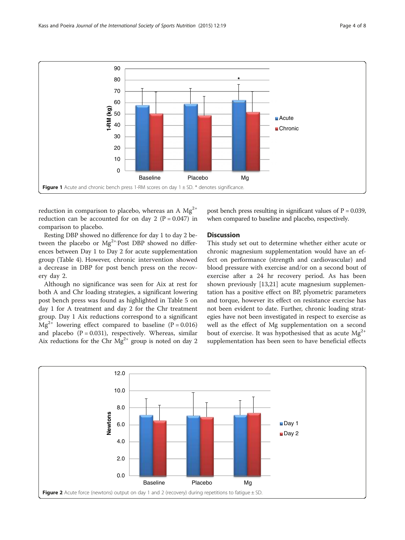<span id="page-3-0"></span>

reduction in comparison to placebo, whereas an A  $Mg^{2+}$ reduction can be accounted for on day 2 ( $P = 0.047$ ) in comparison to placebo.

Resting DBP showed no difference for day 1 to day 2 between the placebo or  $Mg^{2+}$ -Post DBP showed no differences between Day 1 to Day 2 for acute supplementation group (Table [4\)](#page-5-0). However, chronic intervention showed a decrease in DBP for post bench press on the recovery day 2.

Although no significance was seen for Aix at rest for both A and Chr loading strategies, a significant lowering post bench press was found as highlighted in Table [5](#page-5-0) on day 1 for A treatment and day 2 for the Chr treatment group. Day 1 Aix reductions correspond to a significant  $Mg^{2+}$  lowering effect compared to baseline (P = 0.016) and placebo  $(P = 0.031)$ , respectively. Whereas, similar Aix reductions for the Chr  $Mg^{2+}$  group is noted on day 2

post bench press resulting in significant values of  $P = 0.039$ , when compared to baseline and placebo, respectively.

## **Discussion**

This study set out to determine whether either acute or chronic magnesium supplementation would have an effect on performance (strength and cardiovascular) and blood pressure with exercise and/or on a second bout of exercise after a 24 hr recovery period. As has been shown previously [\[13](#page-6-0)[,21](#page-7-0)] acute magnesium supplementation has a positive effect on BP, plyometric parameters and torque, however its effect on resistance exercise has not been evident to date. Further, chronic loading strategies have not been investigated in respect to exercise as well as the effect of Mg supplementation on a second bout of exercise. It was hypothesised that as acute  $Mg^{2+}$ supplementation has been seen to have beneficial effects

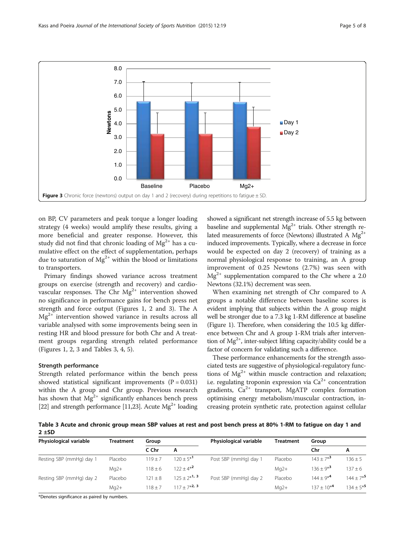<span id="page-4-0"></span>

on BP, CV parameters and peak torque a longer loading strategy (4 weeks) would amplify these results, giving a more beneficial and greater response. However, this study did not find that chronic loading of  $Mg^{2+}$  has a cumulative effect on the effect of supplementation, perhaps due to saturation of  $Mg^{2+}$  within the blood or limitations to transporters.

Primary findings showed variance across treatment groups on exercise (strength and recovery) and cardiovascular responses. The Chr  $Mg^{2+}$  intervention showed no significance in performance gains for bench press net strength and force output (Figures [1, 2](#page-3-0) and 3). The A  $Mg<sup>2+</sup>$  intervention showed variance in results across all variable analysed with some improvements being seen in resting HR and blood pressure for both Chr and A treatment groups regarding strength related performance (Figures [1](#page-3-0), [2](#page-3-0), 3 and Tables 3, [4, 5\)](#page-5-0).

#### Strength performance

Strength related performance within the bench press showed statistical significant improvements  $(P = 0.031)$ within the A group and Chr group. Previous research has shown that  $Mg^{2+}$  significantly enhances bench press [[22](#page-7-0)] and strength performance [\[11](#page-6-0)[,23\]](#page-7-0). Acute  $Mg^{2+}$  loading

showed a significant net strength increase of 5.5 kg between baseline and supplemental  $Mg^{2+}$  trials. Other strength related measurements of force (Newtons) illustrated A  $Mg^{2+}$ induced improvements. Typically, where a decrease in force would be expected on day 2 (recovery) of training as a normal physiological response to training, an A group improvement of 0.25 Newtons (2.7%) was seen with  $Mg^{2+}$  supplementation compared to the Chr where a 2.0 Newtons (32.1%) decrement was seen.

When examining net strength of Chr compared to A groups a notable difference between baseline scores is evident implying that subjects within the A group might well be stronger due to a 7.3 kg 1-RM difference at baseline (Figure [1\)](#page-3-0). Therefore, when considering the 10.5 kg difference between Chr and A group 1-RM trials after intervention of  $Mg^{2+}$ , inter-subject lifting capacity/ability could be a factor of concern for validating such a difference.

These performance enhancements for the strength associated tests are suggestive of physiological-regulatory functions of  $Mg^{2+}$  within muscle contraction and relaxation; i.e. regulating troponin expression via  $Ca^{2+}$  concentration gradients,  $Ca^{2+}$  transport, MgATP complex formation optimising energy metabolism/muscular contraction, increasing protein synthetic rate, protection against cellular

Table 3 Acute and chronic group mean SBP values at rest and post bench press at 80% 1-RM to fatigue on day 1 and  $2 ± SD$ 

| Physiological variable   | Treatment | Group       |                         | Physiological variable | <b>Treatment</b> | Group                   |                         |
|--------------------------|-----------|-------------|-------------------------|------------------------|------------------|-------------------------|-------------------------|
|                          |           | C Chr       | A                       |                        |                  | Chr                     | A                       |
| Resting SBP (mmHg) day 1 | Placebo   | $119 + 7$   | $120 + 5*$ <sup>1</sup> | Post SBP (mmHg) day 1  | Placebo          | $143 \pm 7^{*3}$        | $136 \pm 5$             |
|                          | $Mq2+$    | $118 + 6$   | $122 + 4*^2$            |                        | $Mq2+$           | $136 + 9*$ <sup>3</sup> | $137 + 6$               |
| Resting SBP (mmHg) day 2 | Placebo   | $121 \pm 8$ | $125 + 2^{*1}$          | Post SBP (mmHg) day 2  | Placebo          | $144 + 9^{*4}$          | $144 + 7*$ <sup>5</sup> |
|                          | $Mq2+$    | $118 + 7$   | $117 + 7*2$ , 3         |                        | $Mq2+$           | $137 + 10^{*4}$         | $134 + 5*$ <sup>5</sup> |

\*Denotes significance as paired by numbers.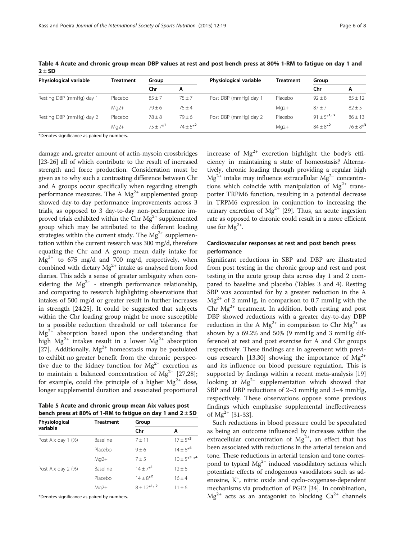| Physiological variable   | Treatment | Group       |             | Physiological variable | Treatment | Group           |                        |
|--------------------------|-----------|-------------|-------------|------------------------|-----------|-----------------|------------------------|
|                          |           | Chr         | А           |                        |           | Chr             | А                      |
| Resting DBP (mmHg) day 1 | Placebo   | $85 \pm 7$  | $75 + 7$    | Post DBP (mmHg) day 1  | Placebo   | $92 \pm 8$      | $85 \pm 12$            |
|                          | $Mq2+$    | $79 + 6$    | $75 + 4$    |                        | $Mq2+$    | $87 + 7$        | $82 \pm 5$             |
| Resting DBP (mmHg) day 2 | Placebo   | $78 \pm 8$  | $79 \pm 6$  | Post DBP (mmHg) day 2  | Placebo   | $91 + 5*^{1,2}$ | $86 \pm 13$            |
|                          | $Mq2+$    | $75 + 7*^1$ | $74 + 5*^2$ |                        | $Mq2+$    | $84 + 8^{*2}$   | $76 + 8*$ <sup>3</sup> |

<span id="page-5-0"></span>Table 4 Acute and chronic group mean DBP values at rest and post bench press at 80% 1-RM to fatigue on day 1 and  $2 \pm SD$ 

\*Denotes significance as paired by numbers.

damage and, greater amount of actin-mysoin crossbridges [[23](#page-7-0)-[26\]](#page-7-0) all of which contribute to the result of increased strength and force production. Consideration must be given as to why such a contrasting difference between Chr and A groups occur specifically when regarding strength performance measures. The A  $Mg^{2+}$  supplemented group showed day-to-day performance improvements across 3 trials, as opposed to 3 day-to-day non-performance improved trials exhibited within the Chr  $Mg^{2+}$  supplemented group which may be attributed to the different loading strategies within the current study. The  $Mg^{2+}$  supplementation within the current research was 300 mg/d, therefore equating the Chr and A group mean daily intake for  $Mg^{2+}$  to 675 mg/d and 700 mg/d, respectively, when combined with dietary  $Mg^{2+}$  intake as analysed from food diaries. This adds a sense of greater ambiguity when considering the  $Mg^{2+}$  - strength performance relationship, and comparing to research highlighting observations that intakes of 500 mg/d or greater result in further increases in strength [\[24,25\]](#page-7-0). It could be suggested that subjects within the Chr loading group might be more susceptible to a possible reduction threshold or cell tolerance for  $Mg^{2+}$  absorption based upon the understanding that high  $Mg^{2+}$  intakes result in a lower  $Mg^{2+}$  absorption [[27\]](#page-7-0). Additionally,  $Mg^{2+}$  homeostasis may be postulated to exhibit no greater benefit from the chronic perspective due to the kidney function for  $Mg^{2+}$  excretion as to maintain a balanced concentration of  $Mg^{2+}$  [[27,28](#page-7-0)]; for example, could the principle of a higher  $Mg^{2+}$  dose, longer supplemental duration and associated proportional

Table 5 Acute and chronic group mean Aix values post bench press at 80% of 1-RM to fatigue on day 1 and  $2 \pm SD$ 

| Physiological      | <b>Treatment</b> | Group                  |                                           |  |
|--------------------|------------------|------------------------|-------------------------------------------|--|
| variable           |                  | Chr                    | A                                         |  |
| Post Aix day 1 (%) | Baseline         | $7 + 11$               | $17 \pm 5*^3$                             |  |
|                    | Placebo          | $9 + 6$                | $14 \pm 6*^{4}$                           |  |
|                    | $Mq2+$           | $7 + 5$                | $10 \pm 5*$ <sup>3</sup> $*$ <sup>4</sup> |  |
| Post Aix day 2 (%) | Baseline         | $14 + 7*$ <sup>1</sup> | $12 + 6$                                  |  |
|                    | Placebo          | $14 \pm 8^{*2}$        | $16 + 4$                                  |  |
|                    | $Mq2+$           | $8 \pm 12^{*1}$ , 2    | $11 + 6$                                  |  |

\*Denotes significance as paired by numbers.

increase of  $Mg^{2+}$  excretion highlight the body's efficiency in maintaining a state of homeostasis? Alternatively, chronic loading through providing a regular high  $Mg^{2+}$  intake may influence extracellular  $Mg^{2+}$  concentrations which coincide with manipulation of  $Mg^{2+}$  transporter TRPM6 function, resulting in a potential decrease in TRPM6 expression in conjunction to increasing the urinary excretion of  $Mg^{2+}$  [\[29\]](#page-7-0). Thus, an acute ingestion rate as opposed to chronic could result in a more efficient use for  $Mg^{2+}$ .

## Cardiovascular responses at rest and post bench press performance

Significant reductions in SBP and DBP are illustrated from post testing in the chronic group and rest and post testing in the acute group data across day 1 and 2 compared to baseline and placebo (Tables [3](#page-4-0) and 4). Resting SBP was accounted for by a greater reduction in the A  $Mg^{2+}$  of 2 mmHg, in comparison to 0.7 mmHg with the Chr  $Mg^{2+}$  treatment. In addition, both resting and post DBP showed reductions with a greater day-to-day DBP reduction in the A  $Mg^{2+}$  in comparison to Chr  $Mg^{2+}$  as shown by a 69.2% and 50% (9 mmHg and 3 mmHg difference) at rest and post exercise for A and Chr groups respectively. These findings are in agreement with previ-ous research [\[13,](#page-6-0)[30\]](#page-7-0) showing the importance of  $Mg^{2+}$ and its influence on blood pressure regulation. This is supported by findings within a recent meta-analysis [[19](#page-7-0)] looking at  $Mg^{2+}$  supplementation which showed that SBP and DBP reductions of 2–3 mmHg and 3–4 mmHg, respectively. These observations oppose some previous findings which emphasise supplemental ineffectiveness of  $Mg^{2+}$  [\[31](#page-7-0)-[33\]](#page-7-0).

Such reductions in blood pressure could be speculated as being an outcome influenced by increases within the extracellular concentration of  $Mg^{2+}$ , an effect that has been associated with reductions in the arterial tension and tone. These reductions in arterial tension and tone correspond to typical  $Mg^{2+}$  induced vasodilatory actions which potentiate effects of endogenous vasodilators such as adenosine, K<sup>+</sup>, nitric oxide and cyclo-oxygenase-dependent mechanisms via production of PGI2 [[34](#page-7-0)]. In combination,  $Mg^{2+}$  acts as an antagonist to blocking  $Ca^{2+}$  channels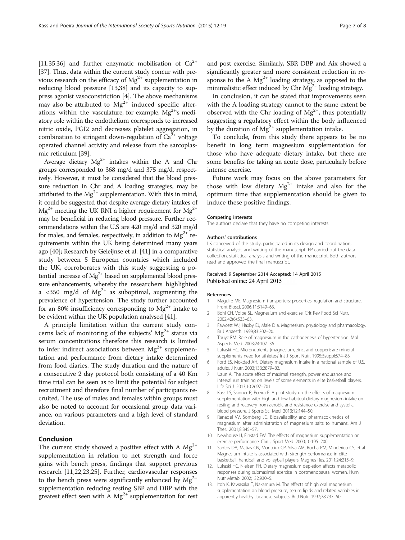<span id="page-6-0"></span>[11[,35,36\]](#page-7-0) and further enzymatic mobilisation of  $Ca^{2+}$ [[37](#page-7-0)]. Thus, data within the current study concur with previous research on the efficacy of  $Mg^{2+}$  supplementation in reducing blood pressure [13[,38\]](#page-7-0) and its capacity to suppress agonist vasoconstriction [4]. The above mechanisms may also be attributed to  $Mg^{2+}$  induced specific alterations within the vasculature, for example,  $Mg^{2+s}$ s mediatory role within the endothelium corresponds to increased nitric oxide, PGI2 and decreases platelet aggregation, in combination to stringent down-regulation of  $Ca^{2+}$  voltage operated channel activity and release from the sarcoplasmic reticulum [[39](#page-7-0)].

Average dietary  $Mg^{2+}$  intakes within the A and Chr groups corresponded to 368 mg/d and 375 mg/d, respectively. However, it must be considered that the blood pressure reduction in Chr and A loading strategies, may be attributed to the  $Mg^{2+}$  supplementation. With this in mind, it could be suggested that despite average dietary intakes of  $Mg^{2+}$  meeting the UK RNI a higher requirement for  $Mg^{2+}$ may be beneficial in reducing blood pressure. Further recommendations within the U.S are 420 mg/d and 320 mg/d for males, and females, respectively, in addition to  $Mg^{2+}$  requirements within the UK being determined many years ago [\[40](#page-7-0)]; Research by Geleijnse et al. [\[41](#page-7-0)] in a comparative study between 5 European countries which included the UK, corroborates with this study suggesting a potential increase of  $Mg^{2+}$  based on supplemental blood pressure enhancements, whereby the researchers highlighted a <350 mg/d of  $Mg^{2+}$  as suboptimal, augmenting the prevalence of hypertension. The study further accounted for an 80% insufficiency corresponding to  $Mg^{2+}$  intake to be evident within the UK population analysed [\[41\]](#page-7-0).

A principle limitation within the current study concerns lack of monitoring of the subjects'  $Mg^{2+}$  status via serum concentrations therefore this research is limited to infer indirect associations between  $Mg^{2+}$  supplementation and performance from dietary intake determined from food diaries. The study duration and the nature of a consecutive 2 day protocol both consisting of a 40 Km time trial can be seen as to limit the potential for subject recruitment and therefore final number of participants recruited. The use of males and females within groups must also be noted to account for occasional group data variance, on various parameters and a high level of standard deviation.

## Conclusion

The current study showed a positive effect with A  $Mg^{2+}$ supplementation in relation to net strength and force gains with bench press, findings that support previous research [11,[22,23,25](#page-7-0)]. Further, cardiovascular responses to the bench press were significantly enhanced by  $Mg^{2+}$ supplementation reducing resting SBP and DBP with the greatest effect seen with A  $Mg^{2+}$  supplementation for rest and post exercise. Similarly, SBP, DBP and Aix showed a significantly greater and more consistent reduction in response to the A  $Mg^{2+}$  loading strategy, as opposed to the minimalistic effect induced by Chr  $Mg^{2+}$  loading strategy.

In conclusion, it can be stated that improvements seen with the A loading strategy cannot to the same extent be observed with the Chr loading of  $Mg^{2+}$ , thus potentially suggesting a regulatory effect within the body influenced by the duration of  $Mg^{2+}$  supplementation intake.

To conclude, from this study there appears to be no benefit in long term magnesium supplementation for those who have adequate dietary intake, but there are some benefits for taking an acute dose, particularly before intense exercise.

Future work may focus on the above parameters for those with low dietary  $Mg^{2+}$  intake and also for the optimum time that supplementation should be given to induce these positive findings.

#### Competing interests

The authors declare that they have no competing interests.

#### Authors' contributions

LK conceived of the study, participated in its design and coordination, statistical analysis and writing of the manuscript. FP carried out the data collection, statistical analysis and writing of the manuscript. Both authors read and approved the final manuscript.

#### Received: 9 September 2014 Accepted: 14 April 2015 Published online: 24 April 2015

#### References

- 1. Maguire ME. Magnesium transporters: properties, regulation and structure. Front Biosci. 2006;11:3149–63.
- 2. Bohl CH, Volpe SL, Magnesium and exercise. Crit Rev Food Sci Nutr. 2002;42(6):533–63.
- 3. Fawcett WJ, Haxby EJ, Male D a. Magnesium: physiology and pharmacology. Br J Anaesth. 1999;83:302–20.
- 4. Touyz RM. Role of magnesium in the pathogenesis of hypertension. Mol Aspects Med. 2003;24:107–36.
- 5. Lukaski HC. Micronutrients (magnesium, zinc, and copper): are mineral supplements need for athletes? Int J Sport Nutr. 1995;5suppl:S74–83.
- 6. Ford ES, Mokdad AH. Dietary magnesium intake in a national sample of U.S. adults. J Nutr. 2003;133:2879–82.
- 7. Uzun A. The acute effect of maximal strength, power endurance and interval run training on levels of some elements in elite basketball players. Life Sci J. 2013;10:2697–701.
- 8. Kass LS, Skinner P, Poeira F. A pilot study on the effects of magnesium supplementation with high and low habitual dietary magnesium intake on resting and recovery from aerobic and resistance exercise and systolic blood pressure. J Sports Sci Med. 2013;12:144–50.
- 9. Ranadel VV, Somberg JC. Bioavailability and pharmacokinetics of magnesium after administration of magnesium salts to humans. Am J Ther. 2001;8:345–57.
- 10. Newhouse IJ, Finstad EW. The effects of magnesium supplementation on exercise performance. Clin J Sport Med. 2000;10:195–200.
- 11. Santos DA, Matias CN, Monteiro CP, Silva AM, Rocha PM, Minderico CS, et al. Magnesium intake is associated with strength performance in elite basketball, handball and volleyball players. Magnes Res. 2011;24:215–9.
- 12. Lukaski HC, Nielsen FH. Dietary magnesium depletion affects metabolic responses during submaximal exercise in postmenopausal women. Hum Nutr Metab. 2002;132:930–5.
- 13. Itoh K, Kawasaka T, Nakamura M. The effects of high oral magnesium supplementation on blood pressure, serum lipids and related variables in apparently healthy Japanese subjects. Br J Nutr. 1997;78:737–50.